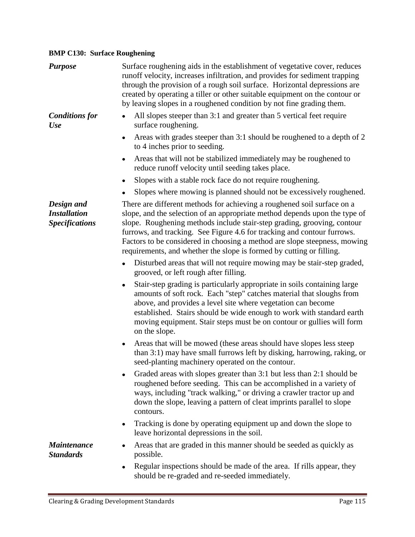## **BMP C130: Surface Roughening**

| <b>Purpose</b>                                             | Surface roughening aids in the establishment of vegetative cover, reduces<br>runoff velocity, increases infiltration, and provides for sediment trapping<br>through the provision of a rough soil surface. Horizontal depressions are<br>created by operating a tiller or other suitable equipment on the contour or<br>by leaving slopes in a roughened condition by not fine grading them.                                                                     |
|------------------------------------------------------------|------------------------------------------------------------------------------------------------------------------------------------------------------------------------------------------------------------------------------------------------------------------------------------------------------------------------------------------------------------------------------------------------------------------------------------------------------------------|
| <b>Conditions for</b><br><b>Use</b>                        | All slopes steeper than 3:1 and greater than 5 vertical feet require<br>surface roughening.                                                                                                                                                                                                                                                                                                                                                                      |
|                                                            | Areas with grades steeper than 3:1 should be roughened to a depth of 2<br>$\bullet$<br>to 4 inches prior to seeding.                                                                                                                                                                                                                                                                                                                                             |
|                                                            | Areas that will not be stabilized immediately may be roughened to<br>reduce runoff velocity until seeding takes place.                                                                                                                                                                                                                                                                                                                                           |
|                                                            | Slopes with a stable rock face do not require roughening.                                                                                                                                                                                                                                                                                                                                                                                                        |
|                                                            | Slopes where mowing is planned should not be excessively roughened.                                                                                                                                                                                                                                                                                                                                                                                              |
| Design and<br><b>Installation</b><br><b>Specifications</b> | There are different methods for achieving a roughened soil surface on a<br>slope, and the selection of an appropriate method depends upon the type of<br>slope. Roughening methods include stair-step grading, grooving, contour<br>furrows, and tracking. See Figure 4.6 for tracking and contour furrows.<br>Factors to be considered in choosing a method are slope steepness, mowing<br>requirements, and whether the slope is formed by cutting or filling. |
|                                                            | Disturbed areas that will not require mowing may be stair-step graded,<br>$\bullet$<br>grooved, or left rough after filling.                                                                                                                                                                                                                                                                                                                                     |
|                                                            | Stair-step grading is particularly appropriate in soils containing large<br>٠<br>amounts of soft rock. Each "step" catches material that sloughs from<br>above, and provides a level site where vegetation can become<br>established. Stairs should be wide enough to work with standard earth<br>moving equipment. Stair steps must be on contour or gullies will form<br>on the slope.                                                                         |
|                                                            | Areas that will be mowed (these areas should have slopes less steep<br>$\bullet$<br>than 3:1) may have small furrows left by disking, harrowing, raking, or<br>seed-planting machinery operated on the contour.                                                                                                                                                                                                                                                  |
|                                                            | Graded areas with slopes greater than 3:1 but less than 2:1 should be<br>roughened before seeding. This can be accomplished in a variety of<br>ways, including "track walking," or driving a crawler tractor up and<br>down the slope, leaving a pattern of cleat imprints parallel to slope<br>contours.                                                                                                                                                        |
|                                                            | Tracking is done by operating equipment up and down the slope to<br>٠<br>leave horizontal depressions in the soil.                                                                                                                                                                                                                                                                                                                                               |
| <b>Maintenance</b><br><b>Standards</b>                     | Areas that are graded in this manner should be seeded as quickly as<br>possible.                                                                                                                                                                                                                                                                                                                                                                                 |
|                                                            | Regular inspections should be made of the area. If rills appear, they<br>$\bullet$<br>should be re-graded and re-seeded immediately.                                                                                                                                                                                                                                                                                                                             |